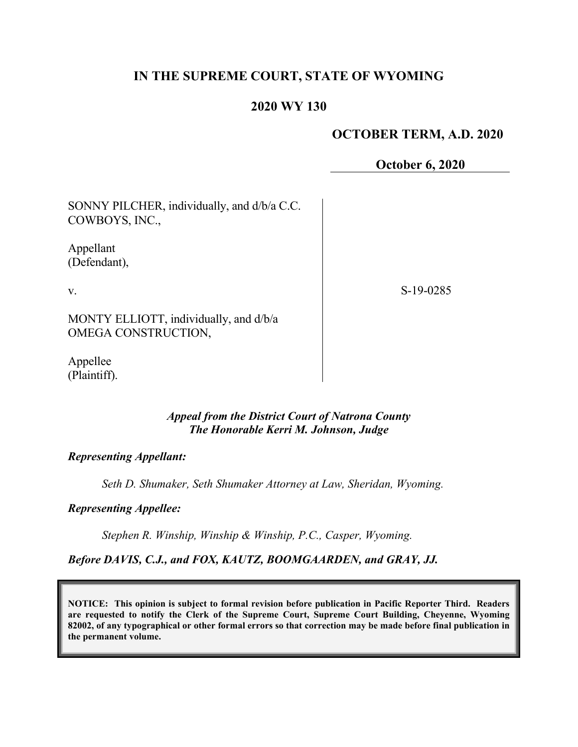# **IN THE SUPREME COURT, STATE OF WYOMING**

# **2020 WY 130**

## **OCTOBER TERM, A.D. 2020**

**October 6, 2020**

SONNY PILCHER, individually, and d/b/a C.C. COWBOYS, INC.,

Appellant (Defendant),

v.

S-19-0285

MONTY ELLIOTT, individually, and d/b/a OMEGA CONSTRUCTION,

Appellee (Plaintiff).

#### *Appeal from the District Court of Natrona County The Honorable Kerri M. Johnson, Judge*

*Representing Appellant:*

*Seth D. Shumaker, Seth Shumaker Attorney at Law, Sheridan, Wyoming.*

*Representing Appellee:*

*Stephen R. Winship, Winship & Winship, P.C., Casper, Wyoming.*

*Before DAVIS, C.J., and FOX, KAUTZ, BOOMGAARDEN, and GRAY, JJ.*

**NOTICE: This opinion is subject to formal revision before publication in Pacific Reporter Third. Readers are requested to notify the Clerk of the Supreme Court, Supreme Court Building, Cheyenne, Wyoming 82002, of any typographical or other formal errors so that correction may be made before final publication in the permanent volume.**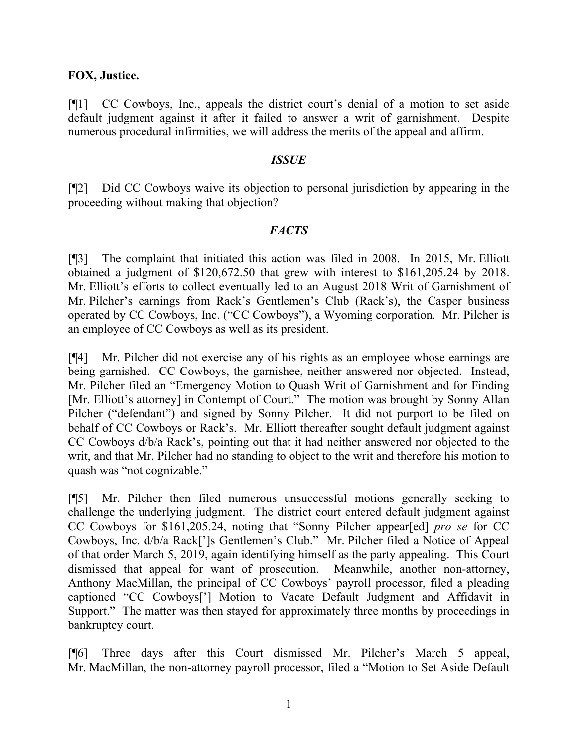### **FOX, Justice.**

[¶1] CC Cowboys, Inc., appeals the district court's denial of a motion to set aside default judgment against it after it failed to answer a writ of garnishment. Despite numerous procedural infirmities, we will address the merits of the appeal and affirm.

#### *ISSUE*

[¶2] Did CC Cowboys waive its objection to personal jurisdiction by appearing in the proceeding without making that objection?

### *FACTS*

[¶3] The complaint that initiated this action was filed in 2008. In 2015, Mr. Elliott obtained a judgment of \$120,672.50 that grew with interest to \$161,205.24 by 2018. Mr. Elliott's efforts to collect eventually led to an August 2018 Writ of Garnishment of Mr. Pilcher's earnings from Rack's Gentlemen's Club (Rack's), the Casper business operated by CC Cowboys, Inc. ("CC Cowboys"), a Wyoming corporation. Mr. Pilcher is an employee of CC Cowboys as well as its president.

[¶4] Mr. Pilcher did not exercise any of his rights as an employee whose earnings are being garnished. CC Cowboys, the garnishee, neither answered nor objected. Instead, Mr. Pilcher filed an "Emergency Motion to Quash Writ of Garnishment and for Finding [Mr. Elliott's attorney] in Contempt of Court." The motion was brought by Sonny Allan Pilcher ("defendant") and signed by Sonny Pilcher. It did not purport to be filed on behalf of CC Cowboys or Rack's. Mr. Elliott thereafter sought default judgment against CC Cowboys d/b/a Rack's, pointing out that it had neither answered nor objected to the writ, and that Mr. Pilcher had no standing to object to the writ and therefore his motion to quash was "not cognizable."

[¶5] Mr. Pilcher then filed numerous unsuccessful motions generally seeking to challenge the underlying judgment. The district court entered default judgment against CC Cowboys for \$161,205.24, noting that "Sonny Pilcher appear[ed] *pro se* for CC Cowboys, Inc. d/b/a Rack[']s Gentlemen's Club." Mr. Pilcher filed a Notice of Appeal of that order March 5, 2019, again identifying himself as the party appealing. This Court dismissed that appeal for want of prosecution. Meanwhile, another non-attorney, Anthony MacMillan, the principal of CC Cowboys' payroll processor, filed a pleading captioned "CC Cowboys['] Motion to Vacate Default Judgment and Affidavit in Support." The matter was then stayed for approximately three months by proceedings in bankruptcy court.

[¶6] Three days after this Court dismissed Mr. Pilcher's March 5 appeal, Mr. MacMillan, the non-attorney payroll processor, filed a "Motion to Set Aside Default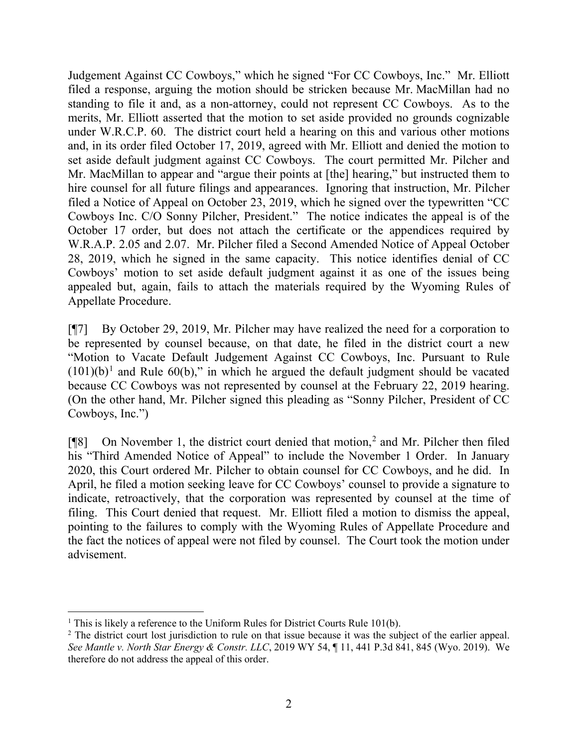Judgement Against CC Cowboys," which he signed "For CC Cowboys, Inc." Mr. Elliott filed a response, arguing the motion should be stricken because Mr. MacMillan had no standing to file it and, as a non-attorney, could not represent CC Cowboys. As to the merits, Mr. Elliott asserted that the motion to set aside provided no grounds cognizable under W.R.C.P. 60. The district court held a hearing on this and various other motions and, in its order filed October 17, 2019, agreed with Mr. Elliott and denied the motion to set aside default judgment against CC Cowboys. The court permitted Mr. Pilcher and Mr. MacMillan to appear and "argue their points at [the] hearing," but instructed them to hire counsel for all future filings and appearances. Ignoring that instruction, Mr. Pilcher filed a Notice of Appeal on October 23, 2019, which he signed over the typewritten "CC Cowboys Inc. C/O Sonny Pilcher, President." The notice indicates the appeal is of the October 17 order, but does not attach the certificate or the appendices required by W.R.A.P. 2.05 and 2.07. Mr. Pilcher filed a Second Amended Notice of Appeal October 28, 2019, which he signed in the same capacity. This notice identifies denial of CC Cowboys' motion to set aside default judgment against it as one of the issues being appealed but, again, fails to attach the materials required by the Wyoming Rules of Appellate Procedure.

[¶7] By October 29, 2019, Mr. Pilcher may have realized the need for a corporation to be represented by counsel because, on that date, he filed in the district court a new "Motion to Vacate Default Judgement Against CC Cowboys, Inc. Pursuant to Rule  $(101)(b)^1$  $(101)(b)^1$  $(101)(b)^1$  and Rule 60(b)," in which he argued the default judgment should be vacated because CC Cowboys was not represented by counsel at the February 22, 2019 hearing. (On the other hand, Mr. Pilcher signed this pleading as "Sonny Pilcher, President of CC Cowboys, Inc.")

[¶8] On November 1, the district court denied that motion,[2](#page-2-1) and Mr. Pilcher then filed his "Third Amended Notice of Appeal" to include the November 1 Order. In January 2020, this Court ordered Mr. Pilcher to obtain counsel for CC Cowboys, and he did. In April, he filed a motion seeking leave for CC Cowboys' counsel to provide a signature to indicate, retroactively, that the corporation was represented by counsel at the time of filing. This Court denied that request. Mr. Elliott filed a motion to dismiss the appeal, pointing to the failures to comply with the Wyoming Rules of Appellate Procedure and the fact the notices of appeal were not filed by counsel. The Court took the motion under advisement.

<span id="page-2-0"></span><sup>&</sup>lt;sup>1</sup> This is likely a reference to the Uniform Rules for District Courts Rule 101(b).

<span id="page-2-1"></span><sup>&</sup>lt;sup>2</sup> The district court lost jurisdiction to rule on that issue because it was the subject of the earlier appeal. *See Mantle v. North Star Energy & Constr. LLC*, 2019 WY 54, ¶ 11, 441 P.3d 841, 845 (Wyo. 2019). We therefore do not address the appeal of this order.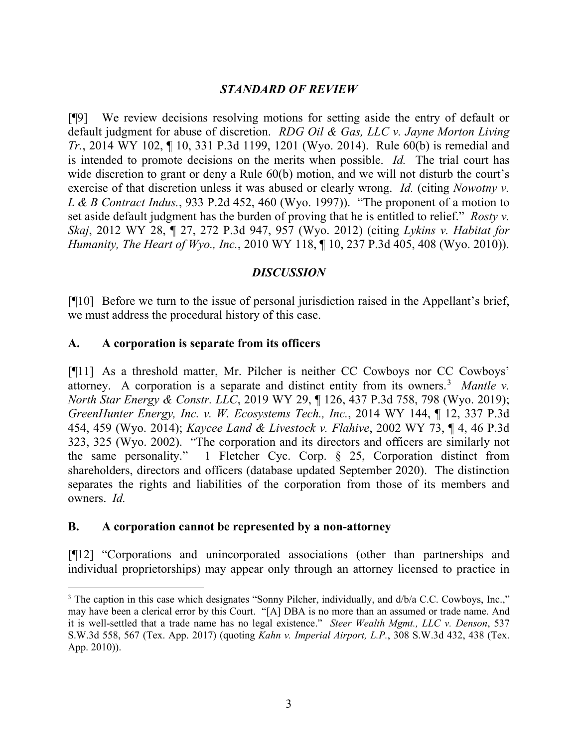# *STANDARD OF REVIEW*

[¶9] We review decisions resolving motions for setting aside the entry of default or default judgment for abuse of discretion. *RDG Oil & Gas, LLC v. Jayne Morton Living Tr.*, 2014 WY 102, ¶ 10, 331 P.3d 1199, 1201 (Wyo. 2014). Rule 60(b) is remedial and is intended to promote decisions on the merits when possible. *Id.* The trial court has wide discretion to grant or deny a Rule 60(b) motion, and we will not disturb the court's exercise of that discretion unless it was abused or clearly wrong. *Id.* (citing *Nowotny v. L & B Contract Indus.*, 933 P.2d 452, 460 (Wyo. 1997)). "The proponent of a motion to set aside default judgment has the burden of proving that he is entitled to relief." *Rosty v. Skaj*, 2012 WY 28, ¶ 27, 272 P.3d 947, 957 (Wyo. 2012) (citing *Lykins v. Habitat for Humanity, The Heart of Wyo., Inc.*, 2010 WY 118, ¶ 10, 237 P.3d 405, 408 (Wyo. 2010)).

### *DISCUSSION*

[¶10] Before we turn to the issue of personal jurisdiction raised in the Appellant's brief, we must address the procedural history of this case.

#### **A. A corporation is separate from its officers**

[¶11] As a threshold matter, Mr. Pilcher is neither CC Cowboys nor CC Cowboys' attorney. A corporation is a separate and distinct entity from its owners.[3](#page-3-0) *Mantle v. North Star Energy & Constr. LLC*, 2019 WY 29, ¶ 126, 437 P.3d 758, 798 (Wyo. 2019); *GreenHunter Energy, Inc. v. W. Ecosystems Tech., Inc.*, 2014 WY 144, ¶ 12, 337 P.3d 454, 459 (Wyo. 2014); *Kaycee Land & Livestock v. Flahive*, 2002 WY 73, ¶ 4, 46 P.3d 323, 325 (Wyo. 2002). "The corporation and its directors and officers are similarly not the same personality." 1 Fletcher Cyc. Corp. § 25, Corporation distinct from shareholders, directors and officers (database updated September 2020). The distinction separates the rights and liabilities of the corporation from those of its members and owners. *Id.*

### **B. A corporation cannot be represented by a non-attorney**

[¶12] "Corporations and unincorporated associations (other than partnerships and individual proprietorships) may appear only through an attorney licensed to practice in

<span id="page-3-0"></span><sup>&</sup>lt;sup>3</sup> The caption in this case which designates "Sonny Pilcher, individually, and d/b/a C.C. Cowboys, Inc.," may have been a clerical error by this Court. "[A] DBA is no more than an assumed or trade name. And it is well-settled that a trade name has no legal existence." *Steer Wealth Mgmt., LLC v. Denson*, 537 S.W.3d 558, 567 (Tex. App. 2017) (quoting *Kahn v. Imperial Airport, L.P.*, 308 S.W.3d 432, 438 (Tex. App. 2010)).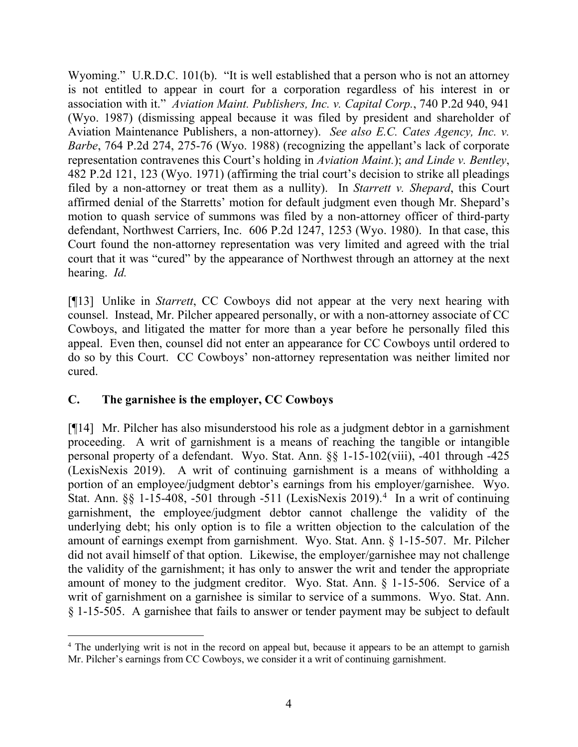Wyoming." U.R.D.C. 101(b). "It is well established that a person who is not an attorney is not entitled to appear in court for a corporation regardless of his interest in or association with it." *Aviation Maint. Publishers, Inc. v. Capital Corp.*, 740 P.2d 940, 941 (Wyo. 1987) (dismissing appeal because it was filed by president and shareholder of Aviation Maintenance Publishers, a non-attorney). *See also E.C. Cates Agency, Inc. v. Barbe*, 764 P.2d 274, 275-76 (Wyo. 1988) (recognizing the appellant's lack of corporate representation contravenes this Court's holding in *Aviation Maint.*); *and Linde v. Bentley*, 482 P.2d 121, 123 (Wyo. 1971) (affirming the trial court's decision to strike all pleadings filed by a non-attorney or treat them as a nullity). In *Starrett v. Shepard*, this Court affirmed denial of the Starretts' motion for default judgment even though Mr. Shepard's motion to quash service of summons was filed by a non-attorney officer of third-party defendant, Northwest Carriers, Inc. 606 P.2d 1247, 1253 (Wyo. 1980). In that case, this Court found the non-attorney representation was very limited and agreed with the trial court that it was "cured" by the appearance of Northwest through an attorney at the next hearing. *Id.*

[¶13] Unlike in *Starrett*, CC Cowboys did not appear at the very next hearing with counsel. Instead, Mr. Pilcher appeared personally, or with a non-attorney associate of CC Cowboys, and litigated the matter for more than a year before he personally filed this appeal. Even then, counsel did not enter an appearance for CC Cowboys until ordered to do so by this Court. CC Cowboys' non-attorney representation was neither limited nor cured.

# **C. The garnishee is the employer, CC Cowboys**

[¶14] Mr. Pilcher has also misunderstood his role as a judgment debtor in a garnishment proceeding. A writ of garnishment is a means of reaching the tangible or intangible personal property of a defendant. Wyo. Stat. Ann. §§ 1-15-102(viii), -401 through -425 (LexisNexis 2019). A writ of continuing garnishment is a means of withholding a portion of an employee/judgment debtor's earnings from his employer/garnishee. Wyo. Stat. Ann. §§ 1-15-408, -501 through -511 (LexisNexis 2019). [4](#page-4-0) In a writ of continuing garnishment, the employee/judgment debtor cannot challenge the validity of the underlying debt; his only option is to file a written objection to the calculation of the amount of earnings exempt from garnishment. Wyo. Stat. Ann. § 1-15-507. Mr. Pilcher did not avail himself of that option. Likewise, the employer/garnishee may not challenge the validity of the garnishment; it has only to answer the writ and tender the appropriate amount of money to the judgment creditor. Wyo. Stat. Ann. § 1-15-506. Service of a writ of garnishment on a garnishee is similar to service of a summons. Wyo. Stat. Ann. § 1-15-505. A garnishee that fails to answer or tender payment may be subject to default

<span id="page-4-0"></span><sup>&</sup>lt;sup>4</sup> The underlying writ is not in the record on appeal but, because it appears to be an attempt to garnish Mr. Pilcher's earnings from CC Cowboys, we consider it a writ of continuing garnishment.